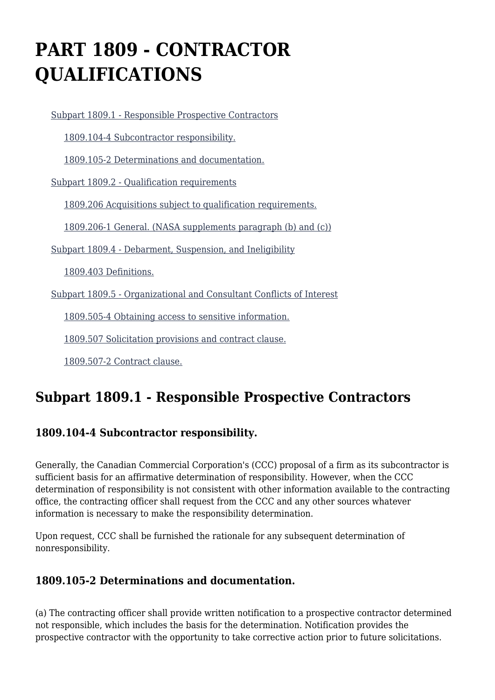# **PART 1809 - CONTRACTOR QUALIFICATIONS**

 [Subpart 1809.1 - Responsible Prospective Contractors](https://login.acquisition.gov/%5Brp:link:nfs-part-1809%5D#Subpart_1809_1_T48_6041791) [1809.104-4 Subcontractor responsibility.](https://login.acquisition.gov/%5Brp:link:nfs-part-1809%5D#Section_1809_104_4_T48_604179111) [1809.105-2 Determinations and documentation.](https://login.acquisition.gov/%5Brp:link:nfs-part-1809%5D#Section_1809_105_2_T48_604179112) [Subpart 1809.2 - Qualification requirements](https://login.acquisition.gov/%5Brp:link:nfs-part-1809%5D#Subpart_1809_2_T48_6041792) [1809.206 Acquisitions subject to qualification requirements.](https://login.acquisition.gov/%5Brp:link:nfs-part-1809%5D#Section_1809_206_T48_604179211) [1809.206-1 General. \(NASA supplements paragraph \(b\) and \(c\)\)](https://login.acquisition.gov/%5Brp:link:nfs-part-1809%5D#Section_1809_206_1_T48_604179212) [Subpart 1809.4 - Debarment, Suspension, and Ineligibility](https://login.acquisition.gov/%5Brp:link:nfs-part-1809%5D#Subpart_1809_4_T48_6041793) [1809.403 Definitions.](https://login.acquisition.gov/%5Brp:link:nfs-part-1809%5D#Section_1809_403_T48_604179311) [Subpart 1809.5 - Organizational and Consultant Conflicts of Interest](https://login.acquisition.gov/%5Brp:link:nfs-part-1809%5D#Subpart_1809_5_T48_6041794) [1809.505-4 Obtaining access to sensitive information.](https://login.acquisition.gov/%5Brp:link:nfs-part-1809%5D#Section_1809_505_4_T48_604179411) [1809.507 Solicitation provisions and contract clause.](https://login.acquisition.gov/%5Brp:link:nfs-part-1809%5D#Section_1809_507_T48_604179412) [1809.507-2 Contract clause.](https://login.acquisition.gov/%5Brp:link:nfs-part-1809%5D#Section_1809_507_2_T48_604179413)

# **Subpart 1809.1 - Responsible Prospective Contractors**

### **1809.104-4 Subcontractor responsibility.**

Generally, the Canadian Commercial Corporation's (CCC) proposal of a firm as its subcontractor is sufficient basis for an affirmative determination of responsibility. However, when the CCC determination of responsibility is not consistent with other information available to the contracting office, the contracting officer shall request from the CCC and any other sources whatever information is necessary to make the responsibility determination.

Upon request, CCC shall be furnished the rationale for any subsequent determination of nonresponsibility.

### **1809.105-2 Determinations and documentation.**

(a) The contracting officer shall provide written notification to a prospective contractor determined not responsible, which includes the basis for the determination. Notification provides the prospective contractor with the opportunity to take corrective action prior to future solicitations.